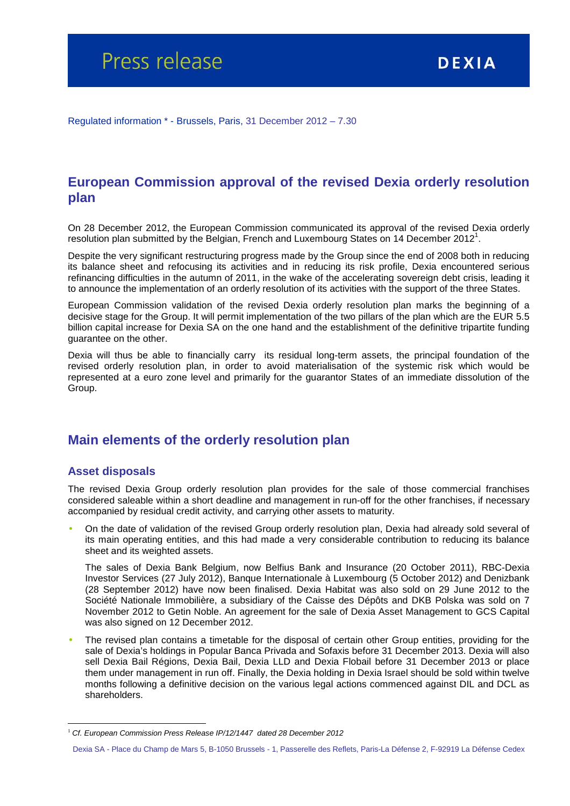Regulated information \* - Brussels, Paris, 31 December 2012 – 7.30

## **European Commission approval of the revised Dexia orderly resolution plan**

On 28 December 2012, the European Commission communicated its approval of the revised Dexia orderly resolution plan submitted by the Belgian, French and Luxembourg States on 14 December 2012<sup>1</sup>.

Despite the very significant restructuring progress made by the Group since the end of 2008 both in reducing its balance sheet and refocusing its activities and in reducing its risk profile, Dexia encountered serious refinancing difficulties in the autumn of 2011, in the wake of the accelerating sovereign debt crisis, leading it to announce the implementation of an orderly resolution of its activities with the support of the three States.

European Commission validation of the revised Dexia orderly resolution plan marks the beginning of a decisive stage for the Group. It will permit implementation of the two pillars of the plan which are the EUR 5.5 billion capital increase for Dexia SA on the one hand and the establishment of the definitive tripartite funding guarantee on the other.

Dexia will thus be able to financially carry its residual long-term assets, the principal foundation of the revised orderly resolution plan, in order to avoid materialisation of the systemic risk which would be represented at a euro zone level and primarily for the guarantor States of an immediate dissolution of the Group.

### **Main elements of the orderly resolution plan**

#### **Asset disposals**

 $\overline{a}$ 

The revised Dexia Group orderly resolution plan provides for the sale of those commercial franchises considered saleable within a short deadline and management in run-off for the other franchises, if necessary accompanied by residual credit activity, and carrying other assets to maturity.

• On the date of validation of the revised Group orderly resolution plan, Dexia had already sold several of its main operating entities, and this had made a very considerable contribution to reducing its balance sheet and its weighted assets.

The sales of Dexia Bank Belgium, now Belfius Bank and Insurance (20 October 2011), RBC-Dexia Investor Services (27 July 2012), Banque Internationale à Luxembourg (5 October 2012) and Denizbank (28 September 2012) have now been finalised. Dexia Habitat was also sold on 29 June 2012 to the Société Nationale Immobilière, a subsidiary of the Caisse des Dépôts and DKB Polska was sold on 7 November 2012 to Getin Noble. An agreement for the sale of Dexia Asset Management to GCS Capital was also signed on 12 December 2012.

• The revised plan contains a timetable for the disposal of certain other Group entities, providing for the sale of Dexia's holdings in Popular Banca Privada and Sofaxis before 31 December 2013. Dexia will also sell Dexia Bail Régions, Dexia Bail, Dexia LLD and Dexia Flobail before 31 December 2013 or place them under management in run off. Finally, the Dexia holding in Dexia Israel should be sold within twelve months following a definitive decision on the various legal actions commenced against DIL and DCL as shareholders.

<sup>&</sup>lt;sup>1</sup> Cf. European Commission Press Release IP/12/1447 dated 28 December 2012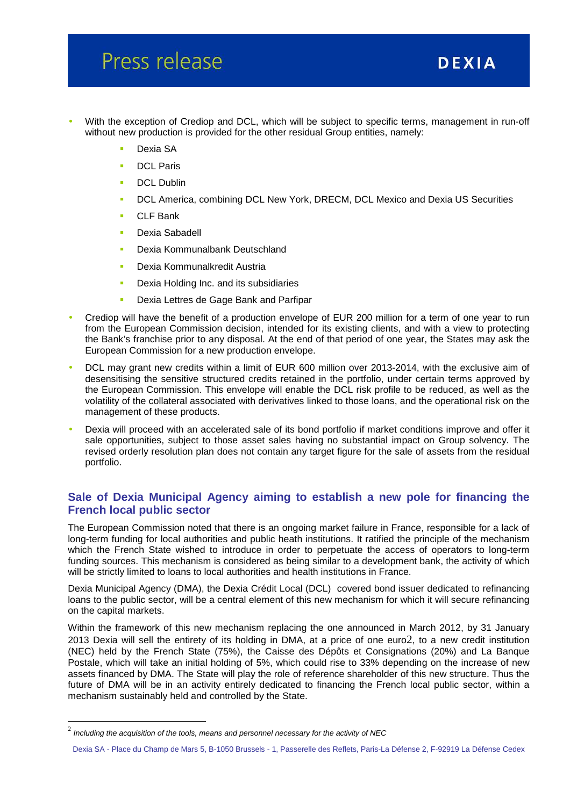## Press release

- With the exception of Crediop and DCL, which will be subject to specific terms, management in run-off without new production is provided for the other residual Group entities, namely:
	- Dexia SA
	- **DCL Paris**
	- DCL Dublin
	- **DCL America, combining DCL New York, DRECM, DCL Mexico and Dexia US Securities**
	- CLF Bank
	- **Dexia Sabadell**
	- **Dexia Kommunalbank Deutschland**
	- **Dexia Kommunalkredit Austria**
	- **Dexia Holding Inc. and its subsidiaries**
	- **Dexia Lettres de Gage Bank and Parfipar**
- Crediop will have the benefit of a production envelope of EUR 200 million for a term of one year to run from the European Commission decision, intended for its existing clients, and with a view to protecting the Bank's franchise prior to any disposal. At the end of that period of one year, the States may ask the European Commission for a new production envelope.
- DCL may grant new credits within a limit of EUR 600 million over 2013-2014, with the exclusive aim of desensitising the sensitive structured credits retained in the portfolio, under certain terms approved by the European Commission. This envelope will enable the DCL risk profile to be reduced, as well as the volatility of the collateral associated with derivatives linked to those loans, and the operational risk on the management of these products.
- Dexia will proceed with an accelerated sale of its bond portfolio if market conditions improve and offer it sale opportunities, subject to those asset sales having no substantial impact on Group solvency. The revised orderly resolution plan does not contain any target figure for the sale of assets from the residual portfolio.

#### **Sale of Dexia Municipal Agency aiming to establish a new pole for financing the French local public sector**

The European Commission noted that there is an ongoing market failure in France, responsible for a lack of long-term funding for local authorities and public heath institutions. It ratified the principle of the mechanism which the French State wished to introduce in order to perpetuate the access of operators to long-term funding sources. This mechanism is considered as being similar to a development bank, the activity of which will be strictly limited to loans to local authorities and health institutions in France.

Dexia Municipal Agency (DMA), the Dexia Crédit Local (DCL) covered bond issuer dedicated to refinancing loans to the public sector, will be a central element of this new mechanism for which it will secure refinancing on the capital markets.

Within the framework of this new mechanism replacing the one announced in March 2012, by 31 January 2013 Dexia will sell the entirety of its holding in DMA, at a price of one euro2, to a new credit institution (NEC) held by the French State (75%), the Caisse des Dépôts et Consignations (20%) and La Banque Postale, which will take an initial holding of 5%, which could rise to 33% depending on the increase of new assets financed by DMA. The State will play the role of reference shareholder of this new structure. Thus the future of DMA will be in an activity entirely dedicated to financing the French local public sector, within a mechanism sustainably held and controlled by the State.

 $\overline{a}$ 

 $^2$  Including the acquisition of the tools, means and personnel necessary for the activity of NEC

Dexia SA - Place du Champ de Mars 5, B-1050 Brussels - 1, Passerelle des Reflets, Paris-La Défense 2, F-92919 La Défense Cedex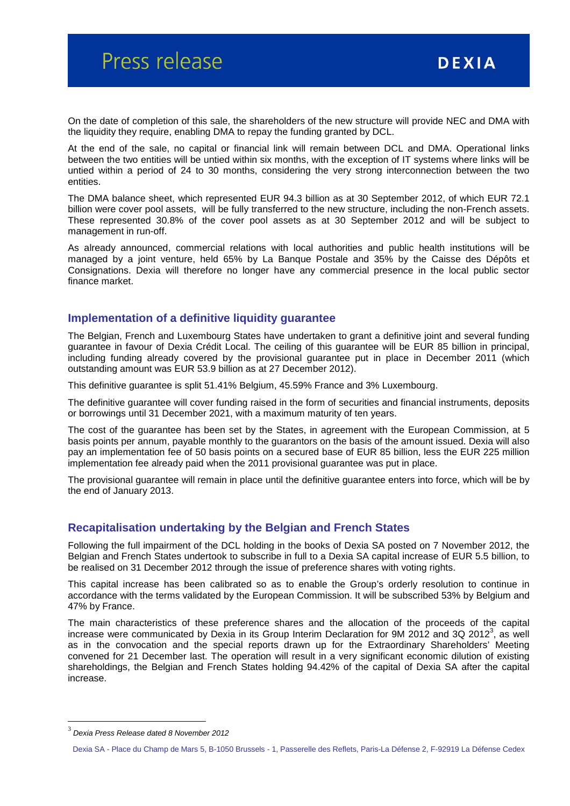On the date of completion of this sale, the shareholders of the new structure will provide NEC and DMA with the liquidity they require, enabling DMA to repay the funding granted by DCL.

At the end of the sale, no capital or financial link will remain between DCL and DMA. Operational links between the two entities will be untied within six months, with the exception of IT systems where links will be untied within a period of 24 to 30 months, considering the very strong interconnection between the two entities.

The DMA balance sheet, which represented EUR 94.3 billion as at 30 September 2012, of which EUR 72.1 billion were cover pool assets, will be fully transferred to the new structure, including the non-French assets. These represented 30.8% of the cover pool assets as at 30 September 2012 and will be subject to management in run-off.

As already announced, commercial relations with local authorities and public health institutions will be managed by a joint venture, held 65% by La Banque Postale and 35% by the Caisse des Dépôts et Consignations. Dexia will therefore no longer have any commercial presence in the local public sector finance market.

#### **Implementation of a definitive liquidity guarantee**

The Belgian, French and Luxembourg States have undertaken to grant a definitive joint and several funding guarantee in favour of Dexia Crédit Local. The ceiling of this guarantee will be EUR 85 billion in principal, including funding already covered by the provisional guarantee put in place in December 2011 (which outstanding amount was EUR 53.9 billion as at 27 December 2012).

This definitive guarantee is split 51.41% Belgium, 45.59% France and 3% Luxembourg.

The definitive guarantee will cover funding raised in the form of securities and financial instruments, deposits or borrowings until 31 December 2021, with a maximum maturity of ten years.

The cost of the guarantee has been set by the States, in agreement with the European Commission, at 5 basis points per annum, payable monthly to the guarantors on the basis of the amount issued. Dexia will also pay an implementation fee of 50 basis points on a secured base of EUR 85 billion, less the EUR 225 million implementation fee already paid when the 2011 provisional guarantee was put in place.

The provisional guarantee will remain in place until the definitive guarantee enters into force, which will be by the end of January 2013.

#### **Recapitalisation undertaking by the Belgian and French States**

Following the full impairment of the DCL holding in the books of Dexia SA posted on 7 November 2012, the Belgian and French States undertook to subscribe in full to a Dexia SA capital increase of EUR 5.5 billion, to be realised on 31 December 2012 through the issue of preference shares with voting rights.

This capital increase has been calibrated so as to enable the Group's orderly resolution to continue in accordance with the terms validated by the European Commission. It will be subscribed 53% by Belgium and 47% by France.

The main characteristics of these preference shares and the allocation of the proceeds of the capital increase were communicated by Dexia in its Group Interim Declaration for 9M 2012 and 3Q 2012<sup>3</sup>, as well as in the convocation and the special reports drawn up for the Extraordinary Shareholders' Meeting convened for 21 December last. The operation will result in a very significant economic dilution of existing shareholdings, the Belgian and French States holding 94.42% of the capital of Dexia SA after the capital increase.

 $\overline{a}$ 

<sup>3</sup> Dexia Press Release dated 8 November 2012

Dexia SA - Place du Champ de Mars 5, B-1050 Brussels - 1, Passerelle des Reflets, Paris-La Défense 2, F-92919 La Défense Cedex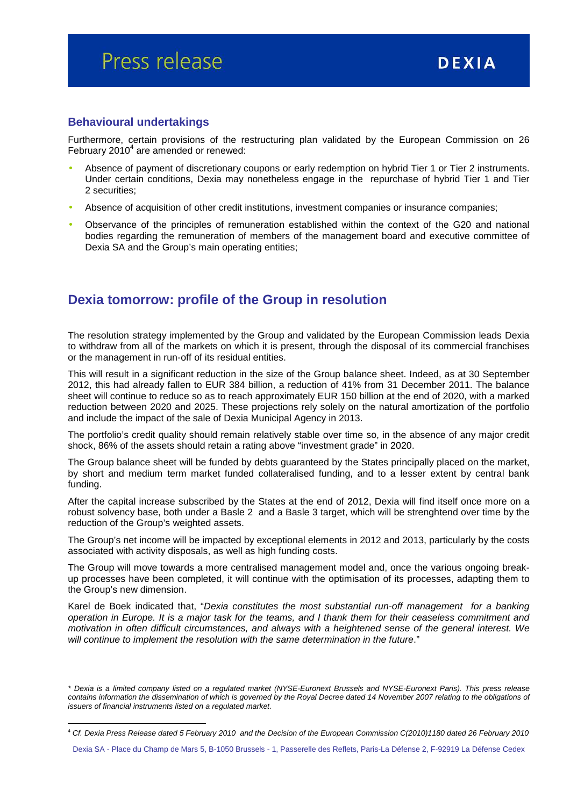## Press release

#### **Behavioural undertakings**

 $\overline{a}$ 

Furthermore, certain provisions of the restructuring plan validated by the European Commission on 26 February 2010 $^4$  are amended or renewed:

- Absence of payment of discretionary coupons or early redemption on hybrid Tier 1 or Tier 2 instruments. Under certain conditions, Dexia may nonetheless engage in the repurchase of hybrid Tier 1 and Tier 2 securities;
- Absence of acquisition of other credit institutions, investment companies or insurance companies;
- Observance of the principles of remuneration established within the context of the G20 and national bodies regarding the remuneration of members of the management board and executive committee of Dexia SA and the Group's main operating entities;

### **Dexia tomorrow: profile of the Group in resolution**

The resolution strategy implemented by the Group and validated by the European Commission leads Dexia to withdraw from all of the markets on which it is present, through the disposal of its commercial franchises or the management in run-off of its residual entities.

This will result in a significant reduction in the size of the Group balance sheet. Indeed, as at 30 September 2012, this had already fallen to EUR 384 billion, a reduction of 41% from 31 December 2011. The balance sheet will continue to reduce so as to reach approximately EUR 150 billion at the end of 2020, with a marked reduction between 2020 and 2025. These projections rely solely on the natural amortization of the portfolio and include the impact of the sale of Dexia Municipal Agency in 2013.

The portfolio's credit quality should remain relatively stable over time so, in the absence of any major credit shock, 86% of the assets should retain a rating above "investment grade" in 2020.

The Group balance sheet will be funded by debts guaranteed by the States principally placed on the market, by short and medium term market funded collateralised funding, and to a lesser extent by central bank funding.

After the capital increase subscribed by the States at the end of 2012, Dexia will find itself once more on a robust solvency base, both under a Basle 2 and a Basle 3 target, which will be strenghtend over time by the reduction of the Group's weighted assets.

The Group's net income will be impacted by exceptional elements in 2012 and 2013, particularly by the costs associated with activity disposals, as well as high funding costs.

The Group will move towards a more centralised management model and, once the various ongoing breakup processes have been completed, it will continue with the optimisation of its processes, adapting them to the Group's new dimension.

Karel de Boek indicated that, "Dexia constitutes the most substantial run-off management for a banking operation in Europe. It is a major task for the teams, and I thank them for their ceaseless commitment and motivation in often difficult circumstances, and always with a heightened sense of the general interest. We will continue to implement the resolution with the same determination in the future."

Dexia SA - Place du Champ de Mars 5, B-1050 Brussels - 1, Passerelle des Reflets, Paris-La Défense 2, F-92919 La Défense Cedex

<sup>\*</sup> Dexia is a limited company listed on a regulated market (NYSE-Euronext Brussels and NYSE-Euronext Paris). This press release contains information the dissemination of which is governed by the Royal Decree dated 14 November 2007 relating to the obligations of issuers of financial instruments listed on a regulated market.

<sup>4</sup> Cf. Dexia Press Release dated 5 February 2010 and the Decision of the European Commission C(2010)1180 dated 26 February 2010